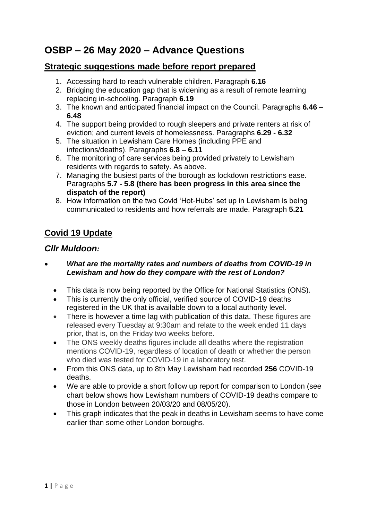# **OSBP – 26 May 2020 – Advance Questions**

# **Strategic suggestions made before report prepared**

- 1. Accessing hard to reach vulnerable children. Paragraph **6.16**
- 2. Bridging the education gap that is widening as a result of remote learning replacing in-schooling. Paragraph **6.19**
- 3. The known and anticipated financial impact on the Council. Paragraphs **6.46 – 6.48**
- 4. The support being provided to rough sleepers and private renters at risk of eviction; and current levels of homelessness. Paragraphs **6.29 - 6.32**
- 5. The situation in Lewisham Care Homes (including PPE and infections/deaths). Paragraphs **6.8 – 6.11**
- 6. The monitoring of care services being provided privately to Lewisham residents with regards to safety. As above.
- 7. Managing the busiest parts of the borough as lockdown restrictions ease. Paragraphs **5.7 - 5.8 (there has been progress in this area since the dispatch of the report)**
- 8. How information on the two Covid 'Hot-Hubs' set up in Lewisham is being communicated to residents and how referrals are made. Paragraph **5.21**

# **Covid 19 Update**

### *Cllr Muldoon:*

- *What are the mortality rates and numbers of deaths from COVID-19 in Lewisham and how do they compare with the rest of London?*
	- This data is now being reported by the Office for National Statistics (ONS).
	- This is currently the only official, verified source of COVID-19 deaths registered in the UK that is available down to a local authority level.
	- There is however a time lag with publication of this data. These figures are released every Tuesday at 9:30am and relate to the week ended 11 days prior, that is, on the Friday two weeks before.
	- The ONS weekly deaths figures include all deaths where the registration mentions COVID-19, regardless of location of death or whether the person who died was tested for COVID-19 in a laboratory test.
	- From this ONS data, up to 8th May Lewisham had recorded **256** COVID-19 deaths.
	- We are able to provide a short follow up report for comparison to London (see chart below shows how Lewisham numbers of COVID-19 deaths compare to those in London between 20/03/20 and 08/05/20).
	- This graph indicates that the peak in deaths in Lewisham seems to have come earlier than some other London boroughs.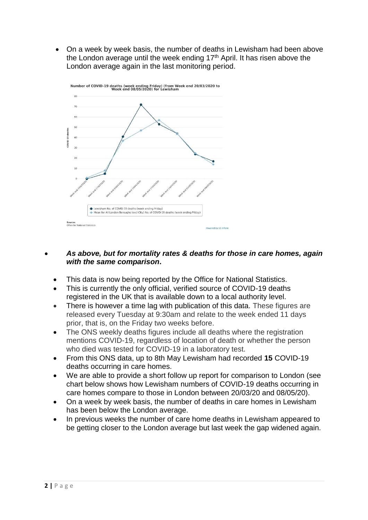On a week by week basis, the number of deaths in Lewisham had been above the London average until the week ending  $17<sup>th</sup>$  April. It has risen above the London average again in the last monitoring period.



#### *As above, but for mortality rates & deaths for those in care homes, again with the same comparison***.**

- This data is now being reported by the Office for National Statistics.
- This is currently the only official, verified source of COVID-19 deaths registered in the UK that is available down to a local authority level.
- There is however a time lag with publication of this data. These figures are released every Tuesday at 9:30am and relate to the week ended 11 days prior, that is, on the Friday two weeks before.
- The ONS weekly deaths figures include all deaths where the registration mentions COVID-19, regardless of location of death or whether the person who died was tested for COVID-19 in a laboratory test.
- From this ONS data, up to 8th May Lewisham had recorded **15** COVID-19 deaths occurring in care homes.
- We are able to provide a short follow up report for comparison to London (see chart below shows how Lewisham numbers of COVID-19 deaths occurring in care homes compare to those in London between 20/03/20 and 08/05/20).
- On a week by week basis, the number of deaths in care homes in Lewisham has been below the London average.
- In previous weeks the number of care home deaths in Lewisham appeared to be getting closer to the London average but last week the gap widened again.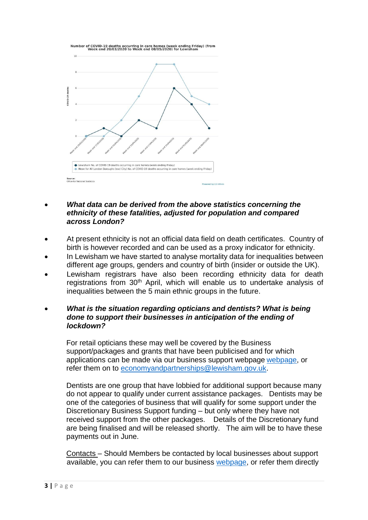

- *What data can be derived from the above statistics concerning the ethnicity of these fatalities, adjusted for population and compared across London?*
- At present ethnicity is not an official data field on death certificates. Country of birth is however recorded and can be used as a proxy indicator for ethnicity.
- In Lewisham we have started to analyse mortality data for inequalities between different age groups, genders and country of birth (insider or outside the UK).
- Lewisham registrars have also been recording ethnicity data for death registrations from 30<sup>th</sup> April, which will enable us to undertake analysis of inequalities between the 5 main ethnic groups in the future.
- *What is the situation regarding opticians and dentists? What is being done to support their businesses in anticipation of the ending of lockdown?*

For retail opticians these may well be covered by the Business support/packages and grants that have been publicised and for which applications can be made via our business support webpage [webpage,](https://lewisham.gov.uk/myservices/coronavirus-covid-19/business-support) or refer them on to [economyandpartnerships@lewisham.gov.uk.](mailto:economyandpartnerships@lewisham.gov.uk)

Dentists are one group that have lobbied for additional support because many do not appear to qualify under current assistance packages. Dentists may be one of the categories of business that will qualify for some support under the Discretionary Business Support funding – but only where they have not received support from the other packages. Details of the Discretionary fund are being finalised and will be released shortly. The aim will be to have these payments out in June.

Contacts – Should Members be contacted by local businesses about support available, you can refer them to our business [webpage,](https://lewisham.gov.uk/myservices/coronavirus-covid-19/business-support) or refer them directly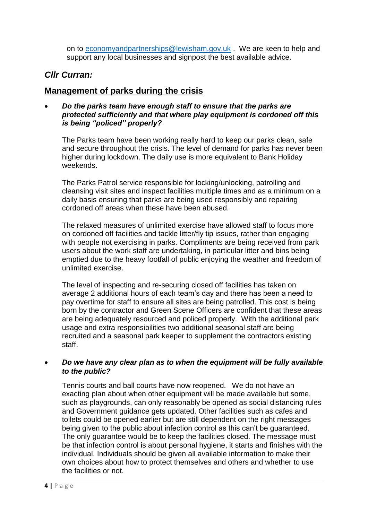on to [economyandpartnerships@lewisham.gov.uk](mailto:economyandpartnerships@lewisham.gov.uk) . We are keen to help and support any local businesses and signpost the best available advice.

# *Cllr Curran:*

### **Management of parks during the crisis**

 *Do the parks team have enough staff to ensure that the parks are protected sufficiently and that where play equipment is cordoned off this is being "policed" properly?*

The Parks team have been working really hard to keep our parks clean, safe and secure throughout the crisis. The level of demand for parks has never been higher during lockdown. The daily use is more equivalent to Bank Holiday weekends.

The Parks Patrol service responsible for locking/unlocking, patrolling and cleansing visit sites and inspect facilities multiple times and as a minimum on a daily basis ensuring that parks are being used responsibly and repairing cordoned off areas when these have been abused.

The relaxed measures of unlimited exercise have allowed staff to focus more on cordoned off facilities and tackle litter/fly tip issues, rather than engaging with people not exercising in parks. Compliments are being received from park users about the work staff are undertaking, in particular litter and bins being emptied due to the heavy footfall of public enjoying the weather and freedom of unlimited exercise.

The level of inspecting and re-securing closed off facilities has taken on average 2 additional hours of each team's day and there has been a need to pay overtime for staff to ensure all sites are being patrolled. This cost is being born by the contractor and Green Scene Officers are confident that these areas are being adequately resourced and policed properly. With the additional park usage and extra responsibilities two additional seasonal staff are being recruited and a seasonal park keeper to supplement the contractors existing staff.

#### *Do we have any clear plan as to when the equipment will be fully available to the public?*

Tennis courts and ball courts have now reopened. We do not have an exacting plan about when other equipment will be made available but some, such as playgrounds, can only reasonably be opened as social distancing rules and Government guidance gets updated. Other facilities such as cafes and toilets could be opened earlier but are still dependent on the right messages being given to the public about infection control as this can't be guaranteed. The only guarantee would be to keep the facilities closed. The message must be that infection control is about personal hygiene, it starts and finishes with the individual. Individuals should be given all available information to make their own choices about how to protect themselves and others and whether to use the facilities or not.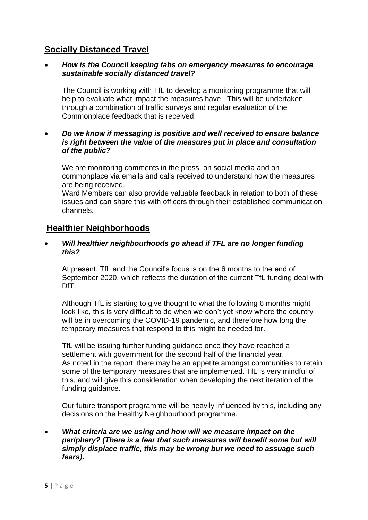# **Socially Distanced Travel**

#### *How is the Council keeping tabs on emergency measures to encourage sustainable socially distanced travel?*

The Council is working with TfL to develop a monitoring programme that will help to evaluate what impact the measures have. This will be undertaken through a combination of traffic surveys and regular evaluation of the Commonplace feedback that is received.

#### *Do we know if messaging is positive and well received to ensure balance is right between the value of the measures put in place and consultation of the public?*

We are monitoring comments in the press, on social media and on commonplace via emails and calls received to understand how the measures are being received.

Ward Members can also provide valuable feedback in relation to both of these issues and can share this with officers through their established communication channels.

### **Healthier Neighborhoods**

#### *Will healthier neighbourhoods go ahead if TFL are no longer funding this?*

At present, TfL and the Council's focus is on the 6 months to the end of September 2020, which reflects the duration of the current TfL funding deal with DfT.

Although TfL is starting to give thought to what the following 6 months might look like, this is very difficult to do when we don't yet know where the country will be in overcoming the COVID-19 pandemic, and therefore how long the temporary measures that respond to this might be needed for.

TfL will be issuing further funding guidance once they have reached a settlement with government for the second half of the financial year. As noted in the report, there may be an appetite amongst communities to retain some of the temporary measures that are implemented. TfL is very mindful of this, and will give this consideration when developing the next iteration of the funding guidance.

Our future transport programme will be heavily influenced by this, including any decisions on the Healthy Neighbourhood programme.

#### *What criteria are we using and how will we measure impact on the periphery? (There is a fear that such measures will benefit some but will simply displace traffic, this may be wrong but we need to assuage such fears).*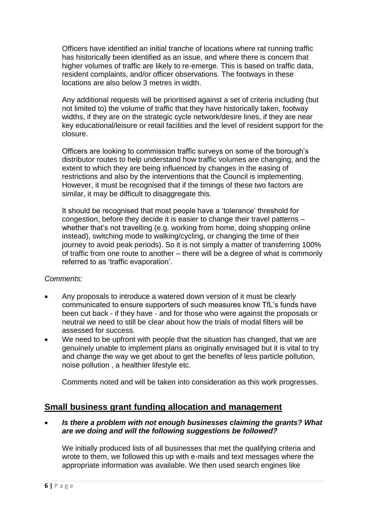Officers have identified an initial tranche of locations where rat running traffic has historically been identified as an issue, and where there is concern that higher volumes of traffic are likely to re-emerge. This is based on traffic data, resident complaints, and/or officer observations. The footways in these locations are also below 3 metres in width.

Any additional requests will be prioritised against a set of criteria including (but not limited to) the volume of traffic that they have historically taken, footway widths, if they are on the strategic cycle network/desire lines, if they are near key educational/leisure or retail facilities and the level of resident support for the closure.

Officers are looking to commission traffic surveys on some of the borough's distributor routes to help understand how traffic volumes are changing, and the extent to which they are being influenced by changes in the easing of restrictions and also by the interventions that the Council is implementing. However, it must be recognised that if the timings of these two factors are similar, it may be difficult to disaggregate this.

It should be recognised that most people have a 'tolerance' threshold for congestion, before they decide it is easier to change their travel patterns – whether that's not travelling (e.g. working from home, doing shopping online instead), switching mode to walking/cycling, or changing the time of their journey to avoid peak periods). So it is not simply a matter of transferring 100% of traffic from one route to another – there will be a degree of what is commonly referred to as 'traffic evaporation'.

#### *Comments:*

- Any proposals to introduce a watered down version of it must be clearly communicated to ensure supporters of such measures know TfL's funds have been cut back - if they have - and for those who were against the proposals or neutral we need to still be clear about how the trials of modal filters will be assessed for success.
- We need to be upfront with people that the situation has changed, that we are genuinely unable to implement plans as originally envisaged but it is vital to try and change the way we get about to get the benefits of less particle pollution, noise pollution , a healthier lifestyle etc.

Comments noted and will be taken into consideration as this work progresses.

### **Small business grant funding allocation and management**

 *Is there a problem with not enough businesses claiming the grants? What are we doing and will the following suggestions be followed?*

We initially produced lists of all businesses that met the qualifying criteria and wrote to them, we followed this up with e-mails and text messages where the appropriate information was available. We then used search engines like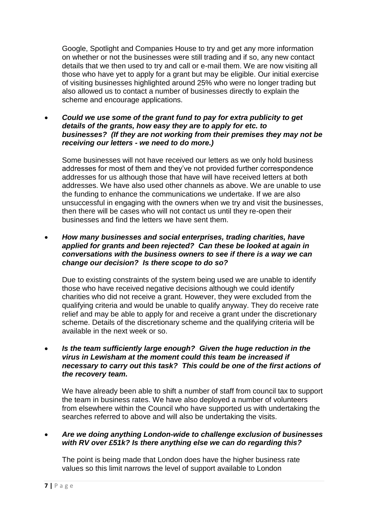Google, Spotlight and Companies House to try and get any more information on whether or not the businesses were still trading and if so, any new contact details that we then used to try and call or e-mail them. We are now visiting all those who have yet to apply for a grant but may be eligible. Our initial exercise of visiting businesses highlighted around 25% who were no longer trading but also allowed us to contact a number of businesses directly to explain the scheme and encourage applications.

 *Could we use some of the grant fund to pay for extra publicity to get details of the grants, how easy they are to apply for etc. to businesses? (If they are not working from their premises they may not be receiving our letters - we need to do more.)*

Some businesses will not have received our letters as we only hold business addresses for most of them and they've not provided further correspondence addresses for us although those that have will have received letters at both addresses. We have also used other channels as above. We are unable to use the funding to enhance the communications we undertake. If we are also unsuccessful in engaging with the owners when we try and visit the businesses, then there will be cases who will not contact us until they re-open their businesses and find the letters we have sent them.

 *How many businesses and social enterprises, trading charities, have applied for grants and been rejected? Can these be looked at again in conversations with the business owners to see if there is a way we can change our decision? Is there scope to do so?*

Due to existing constraints of the system being used we are unable to identify those who have received negative decisions although we could identify charities who did not receive a grant. However, they were excluded from the qualifying criteria and would be unable to qualify anyway. They do receive rate relief and may be able to apply for and receive a grant under the discretionary scheme. Details of the discretionary scheme and the qualifying criteria will be available in the next week or so.

 *Is the team sufficiently large enough? Given the huge reduction in the virus in Lewisham at the moment could this team be increased if necessary to carry out this task? This could be one of the first actions of the recovery team.*

We have already been able to shift a number of staff from council tax to support the team in business rates. We have also deployed a number of volunteers from elsewhere within the Council who have supported us with undertaking the searches referred to above and will also be undertaking the visits.

 *Are we doing anything London-wide to challenge exclusion of businesses with RV over £51k? Is there anything else we can do regarding this?*

The point is being made that London does have the higher business rate values so this limit narrows the level of support available to London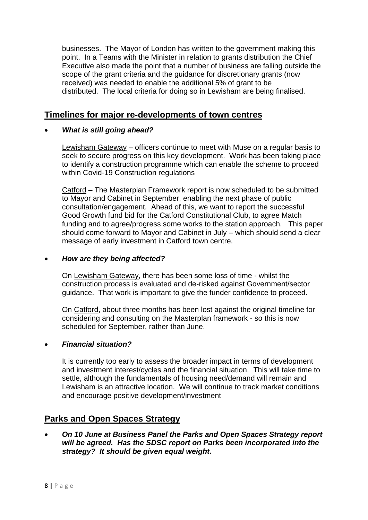businesses. The Mayor of London has written to the government making this point. In a Teams with the Minister in relation to grants distribution the Chief Executive also made the point that a number of business are falling outside the scope of the grant criteria and the guidance for discretionary grants (now received) was needed to enable the additional 5% of grant to be distributed. The local criteria for doing so in Lewisham are being finalised.

# **Timelines for major re-developments of town centres**

### *What is still going ahead?*

Lewisham Gateway – officers continue to meet with Muse on a regular basis to seek to secure progress on this key development. Work has been taking place to identify a construction programme which can enable the scheme to proceed within Covid-19 Construction regulations

Catford – The Masterplan Framework report is now scheduled to be submitted to Mayor and Cabinet in September, enabling the next phase of public consultation/engagement. Ahead of this, we want to report the successful Good Growth fund bid for the Catford Constitutional Club, to agree Match funding and to agree/progress some works to the station approach. This paper should come forward to Mayor and Cabinet in July – which should send a clear message of early investment in Catford town centre.

#### *How are they being affected?*

On Lewisham Gateway, there has been some loss of time - whilst the construction process is evaluated and de-risked against Government/sector guidance. That work is important to give the funder confidence to proceed.

On Catford, about three months has been lost against the original timeline for considering and consulting on the Masterplan framework - so this is now scheduled for September, rather than June.

### *Financial situation?*

It is currently too early to assess the broader impact in terms of development and investment interest/cycles and the financial situation. This will take time to settle, although the fundamentals of housing need/demand will remain and Lewisham is an attractive location. We will continue to track market conditions and encourage positive development/investment

### **Parks and Open Spaces Strategy**

 *On 10 June at Business Panel the Parks and Open Spaces Strategy report will be agreed. Has the SDSC report on Parks been incorporated into the strategy? It should be given equal weight.*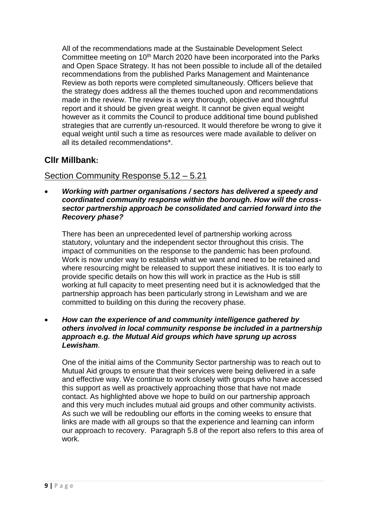All of the recommendations made at the Sustainable Development Select Committee meeting on 10<sup>th</sup> March 2020 have been incorporated into the Parks and Open Space Strategy. It has not been possible to include all of the detailed recommendations from the published Parks Management and Maintenance Review as both reports were completed simultaneously. Officers believe that the strategy does address all the themes touched upon and recommendations made in the review. The review is a very thorough, objective and thoughtful report and it should be given great weight. It cannot be given equal weight however as it commits the Council to produce additional time bound published strategies that are currently un-resourced. It would therefore be wrong to give it equal weight until such a time as resources were made available to deliver on all its detailed recommendations\*.

# **Cllr Millbank:**

# Section Community Response 5.12 – 5.21

 *Working with partner organisations / sectors has delivered a speedy and coordinated community response within the borough. How will the crosssector partnership approach be consolidated and carried forward into the Recovery phase?*

There has been an unprecedented level of partnership working across statutory, voluntary and the independent sector throughout this crisis. The impact of communities on the response to the pandemic has been profound. Work is now under way to establish what we want and need to be retained and where resourcing might be released to support these initiatives. It is too early to provide specific details on how this will work in practice as the Hub is still working at full capacity to meet presenting need but it is acknowledged that the partnership approach has been particularly strong in Lewisham and we are committed to building on this during the recovery phase.

 *How can the experience of and community intelligence gathered by others involved in local community response be included in a partnership approach e.g. the Mutual Aid groups which have sprung up across Lewisham*.

One of the initial aims of the Community Sector partnership was to reach out to Mutual Aid groups to ensure that their services were being delivered in a safe and effective way. We continue to work closely with groups who have accessed this support as well as proactively approaching those that have not made contact. As highlighted above we hope to build on our partnership approach and this very much includes mutual aid groups and other community activists. As such we will be redoubling our efforts in the coming weeks to ensure that links are made with all groups so that the experience and learning can inform our approach to recovery. Paragraph 5.8 of the report also refers to this area of work.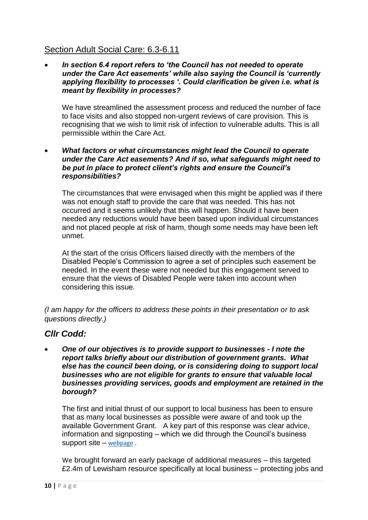# Section Adult Social Care: 6.3-6.11

 *In section 6.4 report refers to 'the Council has not needed to operate under the Care Act easements' while also saying the Council is 'currently applying flexibility to processes '. Could clarification be given i.e. what is meant by flexibility in processes?* 

We have streamlined the assessment process and reduced the number of face to face visits and also stopped non-urgent reviews of care provision. This is recognising that we wish to limit risk of infection to vulnerable adults. This is all permissible within the Care Act.

 *What factors or what circumstances might lead the Council to operate under the Care Act easements? And if so, what safeguards might need to be put in place to protect client's rights and ensure the Council's responsibilities?* 

The circumstances that were envisaged when this might be applied was if there was not enough staff to provide the care that was needed. This has not occurred and it seems unlikely that this will happen. Should it have been needed any reductions would have been based upon individual circumstances and not placed people at risk of harm, though some needs may have been left unmet.

At the start of the crisis Officers liaised directly with the members of the Disabled People's Commission to agree a set of principles such easement be needed. In the event these were not needed but this engagement served to ensure that the views of Disabled People were taken into account when considering this issue.

*(I am happy for the officers to address these points in their presentation or to ask questions directly.)* 

### *Cllr Codd:*

 *One of our objectives is to provide support to businesses - I note the report talks briefly about our distribution of government grants. What else has the council been doing, or is considering doing to support local businesses who are not eligible for grants to ensure that valuable local businesses providing services, goods and employment are retained in the borough?*

The first and initial thrust of our support to local business has been to ensure that as many local businesses as possible were aware of and took up the available Government Grant. A key part of this response was clear advice, information and signposting – which we did through the Council's business support site – [webpage](https://lewisham.gov.uk/myservices/coronavirus-covid-19/business-support) .

We brought forward an early package of additional measures – this targeted £2.4m of Lewisham resource specifically at local business – protecting jobs and